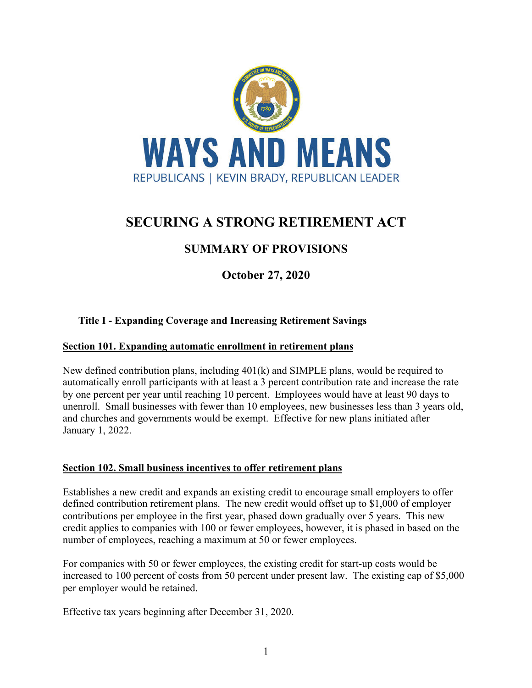

# **SECURING A STRONG RETIREMENT ACT**

# **SUMMARY OF PROVISIONS**

# **October 27, 2020**

# **Title I - Expanding Coverage and Increasing Retirement Savings**

#### **Section 101. Expanding automatic enrollment in retirement plans**

New defined contribution plans, including  $401(k)$  and SIMPLE plans, would be required to automatically enroll participants with at least a 3 percent contribution rate and increase the rate by one percent per year until reaching 10 percent. Employees would have at least 90 days to unenroll. Small businesses with fewer than 10 employees, new businesses less than 3 years old, and churches and governments would be exempt. Effective for new plans initiated after January 1, 2022.

#### **Section 102. Small business incentives to offer retirement plans**

Establishes a new credit and expands an existing credit to encourage small employers to offer defined contribution retirement plans. The new credit would offset up to \$1,000 of employer contributions per employee in the first year, phased down gradually over 5 years. This new credit applies to companies with 100 or fewer employees, however, it is phased in based on the number of employees, reaching a maximum at 50 or fewer employees.

For companies with 50 or fewer employees, the existing credit for start-up costs would be increased to 100 percent of costs from 50 percent under present law. The existing cap of \$5,000 per employer would be retained.

Effective tax years beginning after December 31, 2020.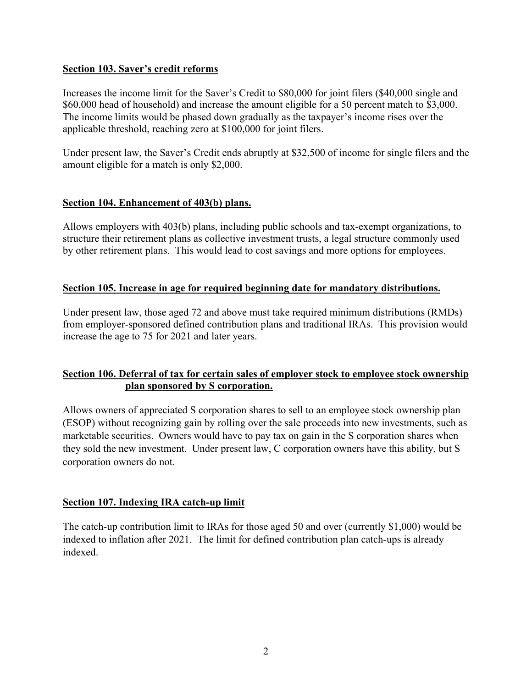#### **Section 103. Saver's credit reforms**

Increases the income limit for the Saver's Credit to \$80,000 for joint filers (\$40,000 single and \$60,000 head of household) and increase the amount eligible for a 50 percent match to \$3,000. The income limits would be phased down gradually as the taxpayer's income rises over the applicable threshold, reaching zero at \$100,000 for joint filers.

Under present law, the Saver's Credit ends abruptly at \$32,500 of income for single filers and the amount eligible for a match is only \$2,000.

#### **Section 104. Enhancement of 403(b) plans.**

Allows employers with 403(b) plans, including public schools and tax-exempt organizations, to structure their retirement plans as collective investment trusts, a legal structure commonly used by other retirement plans. This would lead to cost savings and more options for employees.

#### **Section 105. Increase in age for required beginning date for mandatory distributions.**

Under present law, those aged 72 and above must take required minimum distributions (RMDs) from employer-sponsored defined contribution plans and traditional IRAs. This provision would increase the age to 75 for 2021 and later years.

#### **Section 106. Deferral of tax for certain sales of employer stock to employee stock ownership plan sponsored by S corporation.**

Allows owners of appreciated S corporation shares to sell to an employee stock ownership plan (ESOP) without recognizing gain by rolling over the sale proceeds into new investments, such as marketable securities. Owners would have to pay tax on gain in the S corporation shares when they sold the new investment. Under present law, C corporation owners have this ability, but S corporation owners do not.

#### **Section 107. Indexing IRA catch-up limit**

The catch-up contribution limit to IRAs for those aged 50 and over (currently \$1,000) would be indexed to inflation after 2021. The limit for defined contribution plan catch-ups is already indexed.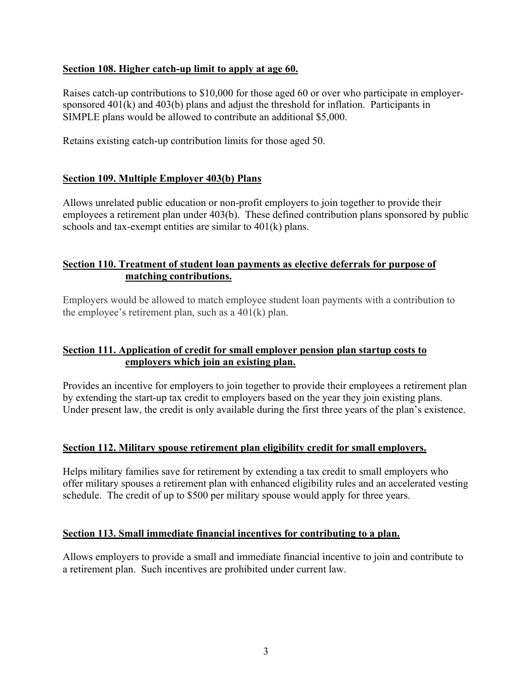#### **Section 108. Higher catch-up limit to apply at age 60.**

Raises catch-up contributions to \$10,000 for those aged 60 or over who participate in employersponsored 401(k) and 403(b) plans and adjust the threshold for inflation. Participants in SIMPLE plans would be allowed to contribute an additional \$5,000.

Retains existing catch-up contribution limits for those aged 50.

#### **Section 109. Multiple Employer 403(b) Plans**

Allows unrelated public education or non-profit employers to join together to provide their employees a retirement plan under 403(b). These defined contribution plans sponsored by public schools and tax-exempt entities are similar to 401(k) plans.

#### **Section 110. Treatment of student loan payments as elective deferrals for purpose of matching contributions.**

Employers would be allowed to match employee student loan payments with a contribution to the employee's retirement plan, such as a  $401(k)$  plan.

# **Section 111. Application of credit for small employer pension plan startup costs to employers which join an existing plan.**

Provides an incentive for employers to join together to provide their employees a retirement plan by extending the start-up tax credit to employers based on the year they join existing plans. Under present law, the credit is only available during the first three years of the plan's existence.

#### **Section 112. Military spouse retirement plan eligibility credit for small employers.**

Helps military families save for retirement by extending a tax credit to small employers who offer military spouses a retirement plan with enhanced eligibility rules and an accelerated vesting schedule. The credit of up to \$500 per military spouse would apply for three years.

#### **Section 113. Small immediate financial incentives for contributing to a plan.**

Allows employers to provide a small and immediate financial incentive to join and contribute to a retirement plan. Such incentives are prohibited under current law.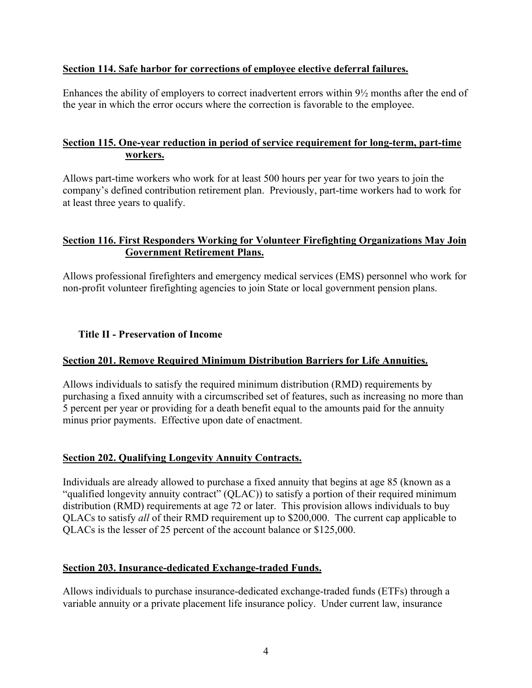#### **Section 114. Safe harbor for corrections of employee elective deferral failures.**

Enhances the ability of employers to correct inadvertent errors within 9½ months after the end of the year in which the error occurs where the correction is favorable to the employee.

# **Section 115. One-year reduction in period of service requirement for long-term, part-time workers.**

Allows part-time workers who work for at least 500 hours per year for two years to join the company's defined contribution retirement plan. Previously, part-time workers had to work for at least three years to qualify.

#### **Section 116. First Responders Working for Volunteer Firefighting Organizations May Join Government Retirement Plans.**

Allows professional firefighters and emergency medical services (EMS) personnel who work for non-profit volunteer firefighting agencies to join State or local government pension plans.

# **Title II - Preservation of Income**

#### **Section 201. Remove Required Minimum Distribution Barriers for Life Annuities.**

Allows individuals to satisfy the required minimum distribution (RMD) requirements by purchasing a fixed annuity with a circumscribed set of features, such as increasing no more than 5 percent per year or providing for a death benefit equal to the amounts paid for the annuity minus prior payments. Effective upon date of enactment.

#### **Section 202. Qualifying Longevity Annuity Contracts.**

Individuals are already allowed to purchase a fixed annuity that begins at age 85 (known as a "qualified longevity annuity contract" (QLAC)) to satisfy a portion of their required minimum distribution (RMD) requirements at age 72 or later. This provision allows individuals to buy QLACs to satisfy *all* of their RMD requirement up to \$200,000. The current cap applicable to QLACs is the lesser of 25 percent of the account balance or \$125,000.

#### **Section 203. Insurance-dedicated Exchange-traded Funds.**

Allows individuals to purchase insurance-dedicated exchange-traded funds (ETFs) through a variable annuity or a private placement life insurance policy. Under current law, insurance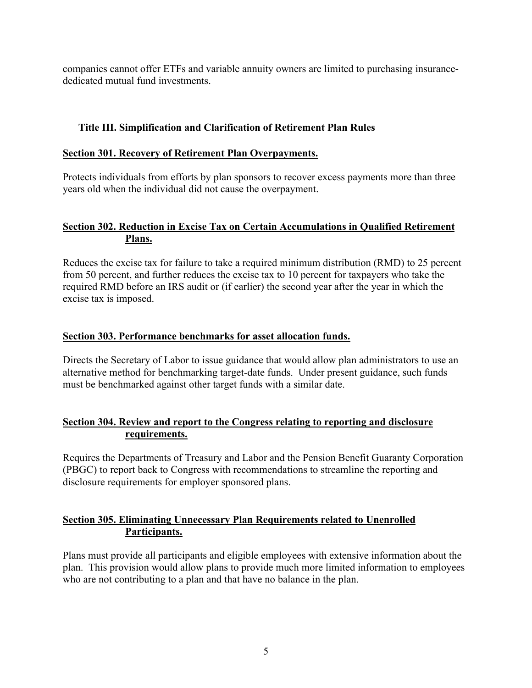companies cannot offer ETFs and variable annuity owners are limited to purchasing insurancededicated mutual fund investments.

#### **Title III. Simplification and Clarification of Retirement Plan Rules**

#### **Section 301. Recovery of Retirement Plan Overpayments.**

Protects individuals from efforts by plan sponsors to recover excess payments more than three years old when the individual did not cause the overpayment.

# **Section 302. Reduction in Excise Tax on Certain Accumulations in Qualified Retirement Plans.**

Reduces the excise tax for failure to take a required minimum distribution (RMD) to 25 percent from 50 percent, and further reduces the excise tax to 10 percent for taxpayers who take the required RMD before an IRS audit or (if earlier) the second year after the year in which the excise tax is imposed.

#### **Section 303. Performance benchmarks for asset allocation funds.**

Directs the Secretary of Labor to issue guidance that would allow plan administrators to use an alternative method for benchmarking target-date funds. Under present guidance, such funds must be benchmarked against other target funds with a similar date.

#### **Section 304. Review and report to the Congress relating to reporting and disclosure requirements.**

Requires the Departments of Treasury and Labor and the Pension Benefit Guaranty Corporation (PBGC) to report back to Congress with recommendations to streamline the reporting and disclosure requirements for employer sponsored plans.

#### **Section 305. Eliminating Unnecessary Plan Requirements related to Unenrolled Participants.**

Plans must provide all participants and eligible employees with extensive information about the plan. This provision would allow plans to provide much more limited information to employees who are not contributing to a plan and that have no balance in the plan.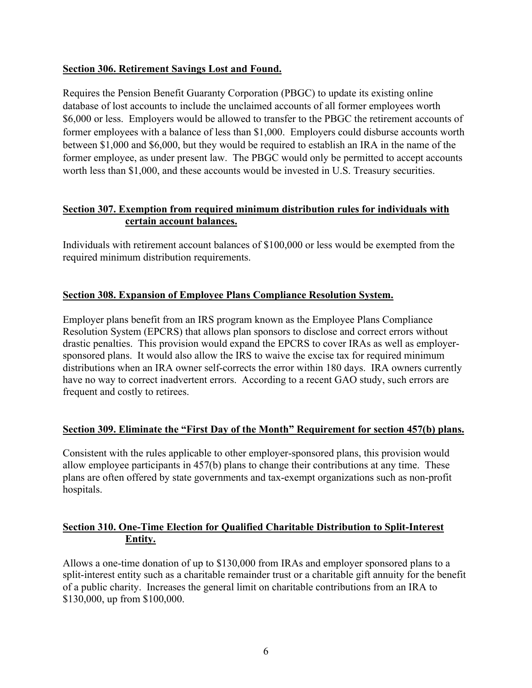#### **Section 306. Retirement Savings Lost and Found.**

Requires the Pension Benefit Guaranty Corporation (PBGC) to update its existing online database of lost accounts to include the unclaimed accounts of all former employees worth \$6,000 or less. Employers would be allowed to transfer to the PBGC the retirement accounts of former employees with a balance of less than \$1,000. Employers could disburse accounts worth between \$1,000 and \$6,000, but they would be required to establish an IRA in the name of the former employee, as under present law. The PBGC would only be permitted to accept accounts worth less than \$1,000, and these accounts would be invested in U.S. Treasury securities.

# **Section 307. Exemption from required minimum distribution rules for individuals with certain account balances.**

Individuals with retirement account balances of \$100,000 or less would be exempted from the required minimum distribution requirements.

#### **Section 308. Expansion of Employee Plans Compliance Resolution System.**

Employer plans benefit from an IRS program known as the Employee Plans Compliance Resolution System (EPCRS) that allows plan sponsors to disclose and correct errors without drastic penalties. This provision would expand the EPCRS to cover IRAs as well as employersponsored plans. It would also allow the IRS to waive the excise tax for required minimum distributions when an IRA owner self-corrects the error within 180 days. IRA owners currently have no way to correct inadvertent errors. According to a recent GAO study, such errors are frequent and costly to retirees.

#### **Section 309. Eliminate the "First Day of the Month" Requirement for section 457(b) plans.**

Consistent with the rules applicable to other employer-sponsored plans, this provision would allow employee participants in 457(b) plans to change their contributions at any time. These plans are often offered by state governments and tax-exempt organizations such as non-profit hospitals.

#### **Section 310. One-Time Election for Qualified Charitable Distribution to Split-Interest Entity.**

Allows a one-time donation of up to \$130,000 from IRAs and employer sponsored plans to a split-interest entity such as a charitable remainder trust or a charitable gift annuity for the benefit of a public charity. Increases the general limit on charitable contributions from an IRA to \$130,000, up from \$100,000.